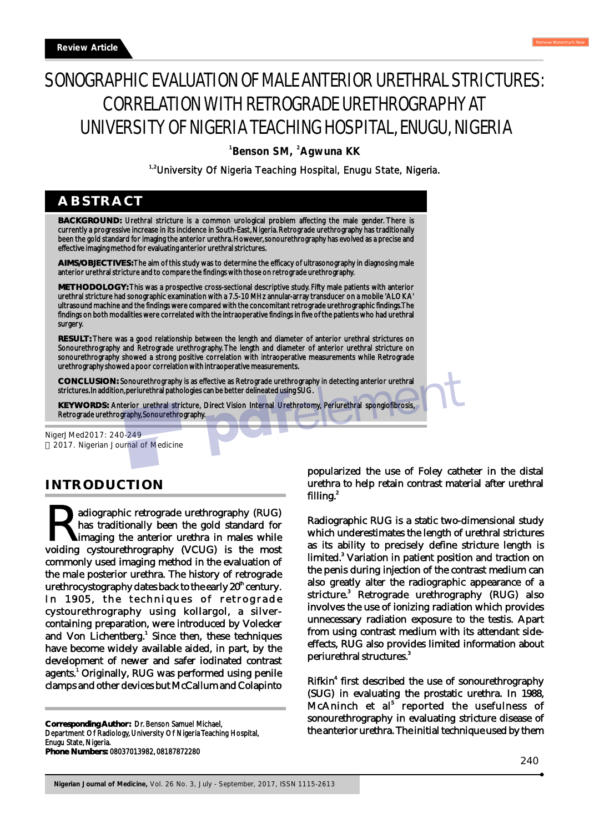# SONOGRAPHIC EVALUATION OF MALE ANTERIOR URETHRAL STRICTURES: CORRELATION WITH RETROGRADE URETHROGRAPHY AT UNIVERSITY OF NIGERIA TEACHING HOSPITAL, ENUGU, NIGERIA

<sup>1</sup> Benson SM, <sup>2</sup>Agwuna KK

<sup>1,2</sup>University Of Nigeria Teaching Hospital, Enugu State, Nigeria.

## **ABSTRACT**

**BACKGROUND:** Urethral stricture is a common urological problem affecting the male gender. There is currently a progressive increase in its incidence in South-East, Nigeria. Retrograde urethrography has traditionally been the gold standard for imaging the anterior urethra. However, sonourethrography has evolved as a precise and effective imaging method for evaluating anterior urethral strictures.

**AIMS/OBJECTIVES:** The aim of this study was to determine the efficacy of ultrasonography in diagnosing male anterior urethral stricture and to compare the findings with those on retrograde urethrography.

**METHODOLOGY:** This was a prospective cross-sectional descriptive study. Fifty male patients with anterior urethral stricture had sonographic examination with a 7.5-10 MHz annular-array transducer on a mobile 'ALOKA' ultrasound machine and the findings were compared with the concomitant retrograde urethrographic findings. The findings on both modalities were correlated with the intraoperative findings in five of the patients who had urethral surgery.

**RESULT:** There was a good relationship between the length and diameter of anterior urethral strictures on Sonourethrography and Retrograde urethrography. The length and diameter of anterior urethral stricture on sonourethrography showed a strong positive correlation with intraoperative measurements while Retrograde urethrography showed a poor correlation with intraoperative measurements.

**CONCLUSION:** Sonourethrography is as effective as Retrograde urethrography in detecting anterior urethral strictures. In addition, periurethral pathologies can be better delineated using SUG.

**KEYWORDS:** Anterior urethral stricture, Direct Vision Internal Urethrotomy, Periurethral spongiofibrosis, Retrograde urethrography, Sonourethrography.

NigerJMed2017: 240-249 2017. Nigerian Journal of Medicine

## **INTRODUCTION**

adiographic retrograde urethrography (RUG) **Property and interpretate the gold standard for the gold standard for imaging the anterior urethra in males while voiding cystourethrography (VCUG) is the most** commonly used imaging method in the evaluation of the male posterior urethra. The history of retrograde urethrocystography dates back to the early 20<sup>th</sup> century. In 1905, the techniques of retrograde cystourethrography using kollargol, a silvercontaining preparation, were introduced by Volecker and Von Lichentberg.<sup>1</sup> Since then, these techniques have become widely available aided, in part, by the development of newer and safer iodinated contrast agents.<sup>1</sup> Originally, RUG was performed using penile clamps and other devices but McCallum and Colapinto

**Corresponding Author:** Dr. Benson Samuel Michael, Department Of Radiology, University Of Nigeria Teaching Hospital,

Enugu State, Nigeria. **Phone Numbers:** 08037013982, 08187872280 popularized the use of Foley catheter in the distal urethra to help retain contrast material after urethral filling.<sup>2</sup>

Radiographic RUG is a static two-dimensional study which underestimates the length of urethral strictures as its ability to precisely define stricture length is limited.<sup>3</sup> Variation in patient position and traction on the penis during injection of the contrast medium can also greatly alter the radiographic appearance of a stricture.<sup>3</sup> Retrograde urethrography (RUG) also involves the use of ionizing radiation which provides unnecessary radiation exposure to the testis. Apart from using contrast medium with its attendant sideeffects, RUG also provides limited information about 3 periurethral structures.

Rifkin<sup>4</sup> first described the use of sonourethrography (SUG) in evaluating the prostatic urethra. In 1988, McAninch et al<sup>5</sup> reported the usefulness of sonourethrography in evaluating stricture disease of the anterior urethra. The initial technique used by them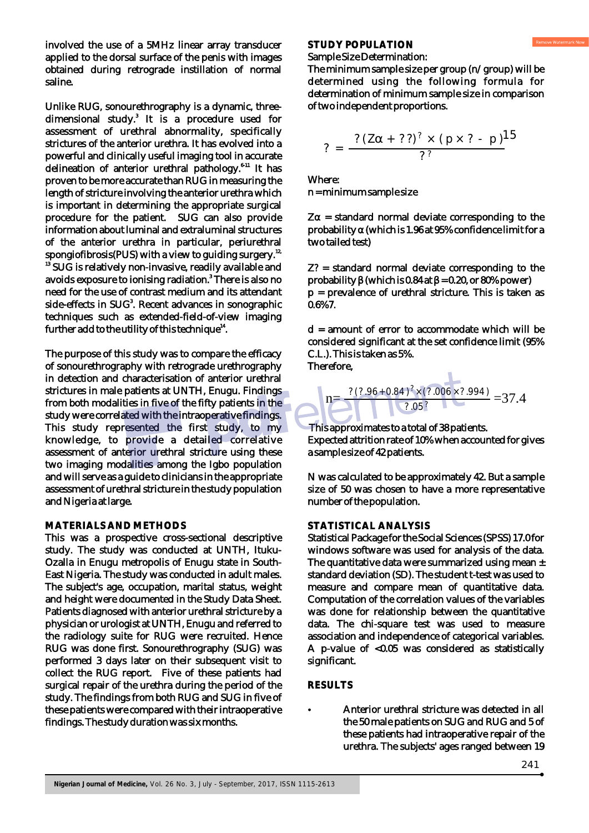involved the use of a 5MHz linear array transducer applied to the dorsal surface of the penis with images obtained during retrograde instillation of normal saline.

Unlike RUG, sonourethrography is a dynamic, threedimensional study.<sup>3</sup> It is a procedure used for assessment of urethral abnormality, specifically strictures of the anterior urethra. It has evolved into a powerful and clinically useful imaging tool in accurate delineation of anterior urethral pathology. $6-11$  It has proven to be more accurate than RUG in measuring the length of stricture involving the anterior urethra which is important in determining the appropriate surgical procedure for the patient. SUG can also provide information about luminal and extraluminal structures of the anterior urethra in particular, periurethral spongiofibrosis(PUS) with a view to guiding surgery.<sup>12,</sup>  $^{\rm 13}$  SUG is relatively non-invasive, readily available and avoids exposure to ionising radiation.<sup>8</sup> There is also no need for the use of contrast medium and its attendant side-effects in SUG<sup>3</sup>. Recent advances in sonographic techniques such as extended-field-of-view imaging further add to the utility of this technique<sup>14</sup>.

The purpose of this study was to compare the efficacy of sonourethrography with retrograde urethrography in detection and characterisation of anterior urethral strictures in male patients at UNTH, Enugu. Findings from both modalities in five of the fifty patients in the study were correlated with the intraoperative findings. This study represented the first study, to my knowledge, to provide a detailed correlative assessment of anterior urethral stricture using these two imaging modalities among the Igbo population and will serve as a guide to clinicians in the appropriate assessment of urethral stricture in the study population and Nigeria at large.

#### **MATERIALS AND METHODS**

This was a prospective cross-sectional descriptive study. The study was conducted at UNTH, Ituku-Ozalla in Enugu metropolis of Enugu state in South-East Nigeria. The study was conducted in adult males. The subject's age, occupation, marital status, weight and height were documented in the Study Data Sheet. Patients diagnosed with anterior urethral stricture by a physician or urologist at UNTH, Enugu and referred to the radiology suite for RUG were recruited. Hence RUG was done first. Sonourethrography (SUG) was performed 3 days later on their subsequent visit to collect the RUG report. Five of these patients had surgical repair of the urethra during the period of the study. The findings from both RUG and SUG in five of these patients were compared with their intraoperative findings. The study duration was six months.

#### **STUDY POPULATION**

#### Sample Size Determination:

The minimum sample size per group (n/group) will be determined using the following formula for determination of minimum sample size in comparison of two independent proportions.

$$
? = \frac{? (Za + ??)^{?} \times (p \times ? - p)^{15}}{?^{?}}
$$

Where: n = minimum sample size

Za = standard normal deviate corresponding to the probability a (which is 1.96 at 95% confidence limit for a two tailed test)

Z? = standard normal deviate corresponding to the probability (which is  $0.84$  at = 0.20, or 80% power) p = prevalence of urethral stricture. This is taken as 0.6%7.

 $d =$  amount of error to accommodate which will be considered significant at the set confidence limit (95% C.L.). This is taken as 5%. Therefore,

$$
n = \frac{? (?.96 + 0.84)^{?} \times (?.006 \times ?.994)}{?.05^{?}} = 37.4
$$

 $\overline{\phantom{a}}$ 

 This approximates to a total of 38 patients. Expected attrition rate of 10% when accounted for gives a sample size of 42 patients.

N was calculated to be approximately 42. But a sample size of 50 was chosen to have a more representative number of the population.

#### **STATISTICAL ANALYSIS**

Statistical Package for the Social Sciences (SPSS) 17.0 for windows software was used for analysis of the data. The quantitative data were summarized using mean  $\pm$ standard deviation (SD). The student t-test was used to measure and compare mean of quantitative data. Computation of the correlation values of the variables was done for relationship between the quantitative data. The chi-square test was used to measure association and independence of categorical variables. A p-value of <0.05 was considered as statistically significant.

#### **RESULTS**

?Anterior urethral stricture was detected in all the 50 male patients on SUG and RUG and 5 of these patients had intraoperative repair of the urethra. The subjects' ages ranged between 19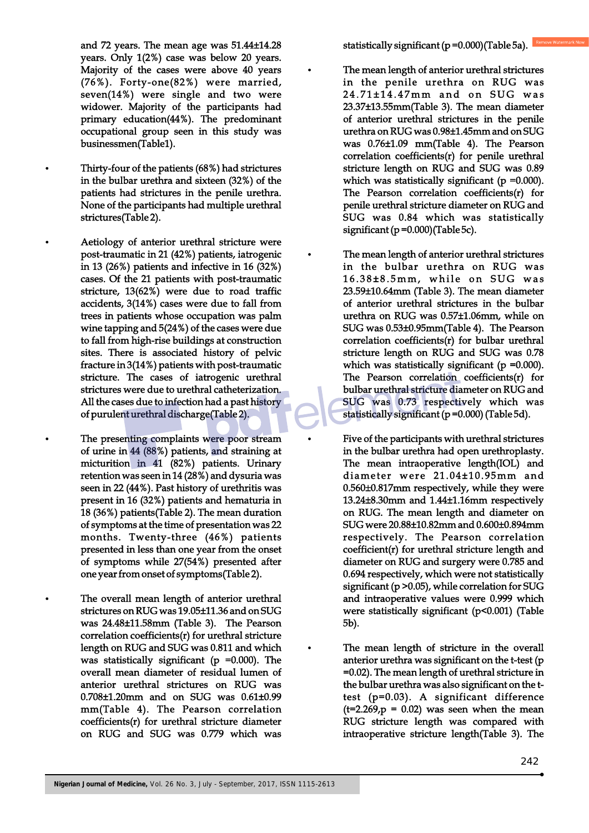and 72 years. The mean age was 51.44±14.28 years. Only 1(2%) case was below 20 years. Majority of the cases were above 40 years (76%). Forty-one(82%) were married, seven(14%) were single and two were widower. Majority of the participants had primary education(44%). The predominant occupational group seen in this study was businessmen(Table1).

?Thirty-four of the patients (68%) had strictures in the bulbar urethra and sixteen (32%) of the patients had strictures in the penile urethra. None of the participants had multiple urethral strictures(Table 2).

?Aetiology of anterior urethral stricture were post-traumatic in 21 (42%) patients, iatrogenic in 13 (26%) patients and infective in 16 (32%) cases. Of the 21 patients with post-traumatic stricture, 13(62%) were due to road traffic accidents, 3(14%) cases were due to fall from trees in patients whose occupation was palm wine tapping and 5(24%) of the cases were due to fall from high-rise buildings at construction sites. There is associated history of pelvic fracture in 3(14%) patients with post-traumatic stricture. The cases of iatrogenic urethral strictures were due to urethral catheterization. All the cases due to infection had a past history of purulent urethral discharge(Table 2).

The presenting complaints were poor stream of urine in 44 (88%) patients, and straining at micturition in 41 (82%) patients. Urinary retention was seen in 14 (28%) and dysuria was seen in 22 (44%). Past history of urethritis was present in 16 (32%) patients and hematuria in 18 (36%) patients(Table 2). The mean duration of symptoms at the time of presentation was 22 months. Twenty-three (46%) patients presented in less than one year from the onset of symptoms while 27(54%) presented after one year from onset of symptoms(Table 2).

The overall mean length of anterior urethral strictures on RUG was 19.05±11.36 and on SUG was 24.48±11.58mm (Table 3). The Pearson correlation coefficients(r) for urethral stricture length on RUG and SUG was 0.811 and which was statistically significant ( $p = 0.000$ ). The overall mean diameter of residual lumen of anterior urethral strictures on RUG was 0.708±1.20mm and on SUG was 0.61±0.99 mm(Table 4). The Pearson correlation coefficients(r) for urethral stricture diameter on RUG and SUG was 0.779 which was

- The mean length of anterior urethral strictures in the penile urethra on RUG was 24.71±14.47mm and on SUG was 23.37±13.55mm(Table 3). The mean diameter of anterior urethral strictures in the penile urethra on RUG was 0.98±1.45mm and on SUG was 0.76±1.09 mm(Table 4). The Pearson correlation coefficients(r) for penile urethral stricture length on RUG and SUG was 0.89 which was statistically significant ( $p = 0.000$ ). The Pearson correlation coefficients(r) for penile urethral stricture diameter on RUG and SUG was 0.84 which was statistically significant (p =0.000)(Table 5c).
	- The mean length of anterior urethral strictures in the bulbar urethra on RUG was  $16.38\pm8.5$ mm, while on SUG was 23.59±10.64mm (Table 3). The mean diameter of anterior urethral strictures in the bulbar urethra on RUG was 0.57±1.06mm, while on SUG was 0.53±0.95mm(Table 4). The Pearson correlation coefficients(r) for bulbar urethral stricture length on RUG and SUG was 0.78 which was statistically significant ( $p = 0.000$ ). The Pearson correlation coefficients(r) for bulbar urethral stricture diameter on RUG and SUG was 0.73 respectively which was statistically significant (p =0.000) (Table 5d).
- Five of the participants with urethral strictures in the bulbar urethra had open urethroplasty. The mean intraoperative length(IOL) and diameter were 21.04±10.95mm and 0.560±0.817mm respectively, while they were 13.24±8.30mm and 1.44±1.16mm respectively on RUG. The mean length and diameter on SUG were 20.88±10.82mm and 0.600±0.894mm respectively. The Pearson correlation coefficient(r) for urethral stricture length and diameter on RUG and surgery were 0.785 and 0.694 respectively, which were not statistically significant (p >0.05), while correlation for SUG and intraoperative values were 0.999 which were statistically significant (p<0.001) (Table 5b).
- The mean length of stricture in the overall anterior urethra was significant on the t-test (p =0.02). The mean length of urethral stricture in the bulbar urethra was also significant on the ttest (p=0.03). A significant difference  $(t=2.269, p = 0.02)$  was seen when the mean RUG stricture length was compared with intraoperative stricture length(Table 3). The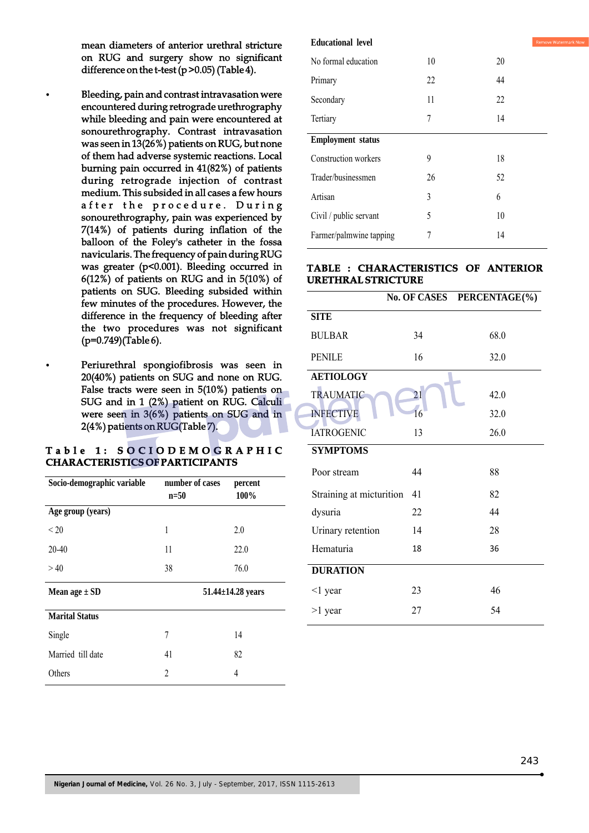mean diameters of anterior urethral stricture on RUG and surgery show no significant difference on the t-test (p >0.05) (Table 4).

- ?Bleeding, pain and contrast intravasation were encountered during retrograde urethrography while bleeding and pain were encountered at sonourethrography. Contrast intravasation was seen in 13(26%) patients on RUG, but none of them had adverse systemic reactions. Local burning pain occurred in 41(82%) of patients during retrograde injection of contrast medium. This subsided in all cases a few hours after the procedure. During sonourethrography, pain was experienced by 7(14%) of patients during inflation of the balloon of the Foley's catheter in the fossa navicularis. The frequency of pain during RUG was greater (p<0.001). Bleeding occurred in 6(12%) of patients on RUG and in 5(10%) of patients on SUG. Bleeding subsided within few minutes of the procedures. However, the difference in the frequency of bleeding after the two procedures was not significant (p=0.749)(Table 6).
- Periurethral spongiofibrosis was seen in 20(40%) patients on SUG and none on RUG. False tracts were seen in 5(10%) patients on SUG and in 1 (2%) patient on RUG. Calculi were seen in 3(6%) patients on SUG and in 2(4%) patients on RUG(Table 7).

#### **T a b l e 1 : S O C I O D E M O G R A P H I C CHARACTERISTICS OF PARTICIPANTS**

| Socio-demographic variable | number of cases<br>$n=50$ | percent<br>100%         |
|----------------------------|---------------------------|-------------------------|
| Age group (years)          |                           |                         |
| < 20                       | 1                         | 2.0                     |
| $20 - 40$                  | 11                        | 22.0                    |
| >40                        | 38                        | 76.0                    |
| Mean age $\pm$ SD          |                           | $51.44 \pm 14.28$ years |
| <b>Marital Status</b>      |                           |                         |
| Single                     | 7                         | 14                      |
| Married till date          | 41                        | 82                      |
| Others                     | $\mathfrak{D}$            | 4                       |

| <b>Educational level</b> |    | Remove |
|--------------------------|----|--------|
| No formal education      | 10 | 20     |
| Primary                  | 22 | 44     |
| Secondary                | 11 | 22     |
| Tertiary                 | 7  | 14     |
| <b>Employment</b> status |    |        |
| Construction workers     | 9  | 18     |
| Trader/businessmen       | 26 | 52     |
| Artisan                  | 3  | 6      |
| Civil / public servant   | 5  | 10     |
| Farmer/palmwine tapping  | 7  | 14     |
|                          |    |        |

#### **TABLE : CHARACTERISTICS OF ANTERIOR URETHRAL STRICTURE**

|                          |    | No. OF CASES PERCENTAGE(%) |
|--------------------------|----|----------------------------|
| <b>SITE</b>              |    |                            |
| <b>BULBAR</b>            | 34 | 68.0                       |
| <b>PENILE</b>            | 16 | 32.0                       |
| <b>AETIOLOGY</b>         |    |                            |
| <b>TRAUMATIC</b>         | 21 | 42.0                       |
| <b>INFECTIVE</b>         | 16 | 32.0                       |
| <b>IATROGENIC</b>        | 13 | 26.0                       |
| <b>SYMPTOMS</b>          |    |                            |
| Poor stream              | 44 | 88                         |
| Straining at micturition | 41 | 82                         |
| dysuria                  | 22 | 44                         |
| Urinary retention        | 14 | 28                         |
| Hematuria                | 18 | 36                         |
| <b>DURATION</b>          |    |                            |
| $\leq$ 1 year            | 23 | 46                         |
| $>1$ year                | 27 | 54                         |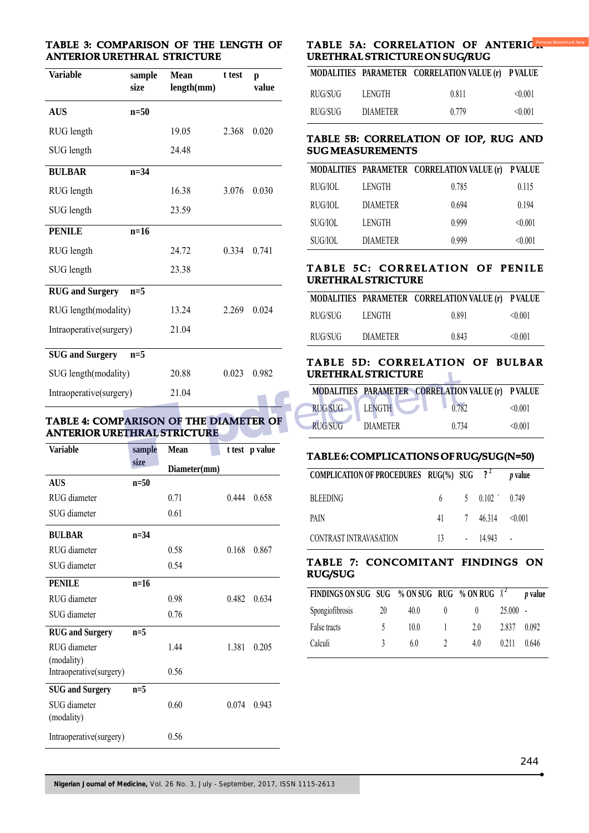#### **TABLE 3: COMPARISON OF THE LENGTH OF ANTERIOR URETHRAL STRICTURE**

| <b>Variable</b>         | sample<br>size | <b>Mean</b><br>length(mm) | t test | p<br>value |
|-------------------------|----------------|---------------------------|--------|------------|
| <b>AUS</b>              | $n=50$         |                           |        |            |
| RUG length              |                | 19.05                     | 2.368  | 0.020      |
| SUG length              |                | 24.48                     |        |            |
| <b>BULBAR</b>           | $n=34$         |                           |        |            |
| RUG length              |                | 16.38                     | 3.076  | 0.030      |
| SUG length              |                | 23.59                     |        |            |
| <b>PENILE</b>           | $n=16$         |                           |        |            |
| RUG length              |                | 24.72                     | 0.334  | 0.741      |
| SUG length              |                | 23.38                     |        |            |
| <b>RUG</b> and Surgery  | $n=5$          |                           |        |            |
| RUG length(modality)    |                | 13.24                     | 2.269  | 0.024      |
| Intraoperative(surgery) |                | 21.04                     |        |            |
| <b>SUG</b> and Surgery  | $n=5$          |                           |        |            |
| SUG length(modality)    |                | 20.88                     | 0.023  | 0.982      |
| Intraoperative(surgery) |                | 21.04                     |        |            |

#### **TABLE 4: COMPARISON OF THE DIAMETER OF ANTERIOR URETHRAL STRICTURE**

| <b>Variable</b>            | sample | Mean         |       | t test p value |
|----------------------------|--------|--------------|-------|----------------|
|                            | size   | Diameter(mm) |       |                |
| <b>AUS</b>                 | $n=50$ |              |       |                |
| RUG diameter               |        | 0.71         | 0.444 | 0.658          |
| SUG diameter               |        | 0.61         |       |                |
| <b>BULBAR</b>              | $n=34$ |              |       |                |
| RUG diameter               |        | 0.58         | 0.168 | 0.867          |
| SUG diameter               |        | 0.54         |       |                |
| <b>PENILE</b>              | $n=16$ |              |       |                |
| RUG diameter               |        | 0.98         | 0.482 | 0.634          |
| SUG diameter               |        | 0.76         |       |                |
| <b>RUG</b> and Surgery     | $n=5$  |              |       |                |
| RUG diameter<br>(modality) |        | 1.44         | 1.381 | 0.205          |
| Intraoperative(surgery)    |        | 0.56         |       |                |
| <b>SUG</b> and Surgery     | $n=5$  |              |       |                |
| SUG diameter<br>(modality) |        | 0.60         | 0.074 | 0.943          |
| Intraoperative(surgery)    |        | 0.56         |       |                |

#### **TABLE 5A: CORRELATION OF ANTERIC & URETHRAL STRICTURE ON SUG/RUG**

|         |                 | MODALITIES PARAMETER CORRELATION VALUE (r) PVALUE |         |
|---------|-----------------|---------------------------------------------------|---------|
| RUG/SUG | LENGTH          | 0.811                                             | < 0.001 |
| RUG/SUG | <b>DIAMETER</b> | 0.779                                             | < 0.001 |

#### **TABLE 5B: CORRELATION OF IOP, RUG AND SUG MEASUREMENTS**

|         |                 | MODALITIES PARAMETER CORRELATION VALUE (r) PVALUE |         |
|---------|-----------------|---------------------------------------------------|---------|
| RUG/IOL | LENGTH          | 0.785                                             | 0.115   |
| RUG/IOL | <b>DIAMETER</b> | 0.694                                             | 0.194   |
| SUG/IOL | LENGTH          | 0.999                                             | < 0.001 |
| SUG/IOL | <b>DIAMETER</b> | 0.999                                             | < 0.001 |

#### **TABLE 5C: CORRELATION OF PENILE URETHRAL STRICTURE**

|         |                 | MODALITIES PARAMETER CORRELATION VALUE (r) PVALUE |         |
|---------|-----------------|---------------------------------------------------|---------|
| RUG/SUG | LENGTH          | 0.891                                             | < 0.001 |
| RUG/SUG | <b>DIAMETER</b> | 0.843                                             | < 0.001 |

#### **TABLE 5D: CORRELATION OF BULBAR URETHRAL STRICTURE**

|                |                 | MODALITIES PARAMETER CORRELATION VALUE (r) P VALUE |         |
|----------------|-----------------|----------------------------------------------------|---------|
| <b>RUG/SUG</b> | <b>LENGTH</b>   | 0.782                                              | < 0.001 |
| <b>RUG/SUG</b> | <b>DIAMETER</b> | 0.734                                              | < 0.001 |

### **TABLE 6: COMPLICATIONS OF RUG/SUG(N=50)**

| COMPLICATION OF PROCEDURES $RUG(\%)$ SUG ? <sup>2</sup> |  |                          | <i>v</i> value |
|---------------------------------------------------------|--|--------------------------|----------------|
| <b>BLEEDING</b>                                         |  | 6 5 $0.102$ 0.749        |                |
| PAIN                                                    |  | 41 7 46.314 $\leq 0.001$ |                |
| CONTRAST INTRAVASATION                                  |  | $13 - 14.943 -$          |                |

#### **TABLE 7: CONCOMITANT FINDINGS ON RUG/SUG**

| FINDINGS ON SUG SUG % ON SUG RUG % ON RUG $\chi^2$ |    |      |              |     |            | <i>v</i> value |
|----------------------------------------------------|----|------|--------------|-----|------------|----------------|
| Spongiofibrosis                                    | 20 | 40.0 | $^{(1)}$     |     | $25.000 -$ |                |
| False tracts                                       |    | 10.0 | $\mathbf{L}$ | 20  | 2.837      | 0.092          |
| Calculi                                            | 3  | 6.0  |              | 4.0 | 0.211      | 0.646          |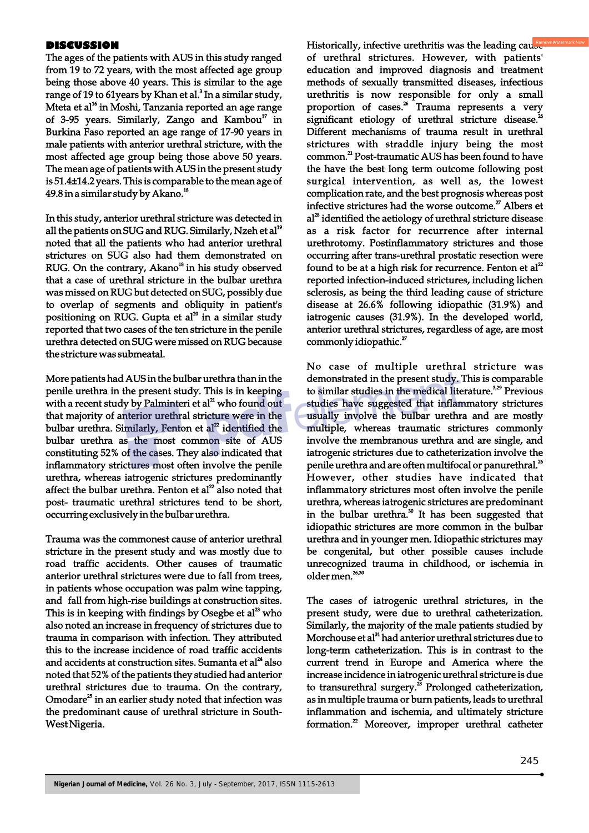#### **DISCUSSION**

The ages of the patients with AUS in this study ranged from 19 to 72 years, with the most affected age group being those above 40 years. This is similar to the age range of 19 to 61years by Khan et al. $^{\rm 3}$  In a similar study, Mteta et al<sup>16</sup> in Moshi, Tanzania reported an age range of 3-95 years. Similarly, Zango and Kambou $^{\text{17}}$  in Burkina Faso reported an age range of 17-90 years in male patients with anterior urethral stricture, with the most affected age group being those above 50 years. The mean age of patients with AUS in the present study is 51.4±14.2 years. This is comparable to the mean age of <sup>18</sup>49.8 in a similar study by Akano.

In this study, anterior urethral stricture was detected in all the patients on SUG and RUG. Similarly, Nzeh et al<sup>19</sup> noted that all the patients who had anterior urethral strictures on SUG also had them demonstrated on RUG. On the contrary, Akano<sup>18</sup> in his study observed that a case of urethral stricture in the bulbar urethra was missed on RUG but detected on SUG, possibly due to overlap of segments and obliquity in patient's positioning on RUG. Gupta et  $al^{20}$  in a similar study reported that two cases of the ten stricture in the penile urethra detected on SUG were missed on RUG because the stricture was submeatal.

More patients had AUS in the bulbar urethra than in the penile urethra in the present study. This is in keeping with a recent study by Palminteri et al<sup>21</sup> who found out that majority of anterior urethral stricture were in the bulbar urethra. Similarly, Fenton et  $al<sup>2</sup>$  identified the bulbar urethra as the most common site of AUS constituting 52% of the cases. They also indicated that inflammatory strictures most often involve the penile urethra, whereas iatrogenic strictures predominantly affect the bulbar urethra. Fenton et al<sup>22</sup> also noted that post- traumatic urethral strictures tend to be short, occurring exclusively in the bulbar urethra.

Trauma was the commonest cause of anterior urethral stricture in the present study and was mostly due to road traffic accidents. Other causes of traumatic anterior urethral strictures were due to fall from trees, in patients whose occupation was palm wine tapping, and fall from high-rise buildings at construction sites. This is in keeping with findings by Osegbe et  $al<sup>23</sup>$  who also noted an increase in frequency of strictures due to trauma in comparison with infection. They attributed this to the increase incidence of road traffic accidents and accidents at construction sites. Sumanta et  $al<sup>24</sup>$  also noted that 52% of the patients they studied had anterior urethral strictures due to trauma. On the contrary, Omodare<sup>25</sup> in an earlier study noted that infection was the predominant cause of urethral stricture in South-West Nigeria.

Historically, infective urethritis was the leading cause of urethral strictures. However, with patients' education and improved diagnosis and treatment methods of sexually transmitted diseases, infectious urethritis is now responsible for only a small proportion of cases.<sup>26</sup> Trauma represents a very significant etiology of urethral stricture disease.<sup>26</sup> Different mechanisms of trauma result in urethral strictures with straddle injury being the most common.<sup>21</sup> Post-traumatic AUS has been found to have the have the best long term outcome following post surgical intervention, as well as, the lowest complication rate, and the best prognosis whereas post infective strictures had the worse outcome.<sup>27</sup> Albers et al<sup>28</sup> identified the aetiology of urethral stricture disease as a risk factor for recurrence after internal urethrotomy. Postinflammatory strictures and those occurring after trans-urethral prostatic resection were found to be at a high risk for recurrence. Fenton et  $al<sup>2</sup>$ reported infection-induced strictures, including lichen sclerosis, as being the third leading cause of stricture disease at 26.6% following idiopathic (31.9%) and iatrogenic causes (31.9%). In the developed world, anterior urethral strictures, regardless of age, are most commonly idiopathic.<sup>27</sup>

No case of multiple urethral stricture was demonstrated in the present study. This is comparable to similar studies in the medical literature.<sup>3,29</sup> Previous studies have suggested that inflammatory strictures usually involve the bulbar urethra and are mostly multiple, whereas traumatic strictures commonly involve the membranous urethra and are single, and iatrogenic strictures due to catheterization involve the penile urethra and are often multifocal or panurethral.<sup>26</sup> However, other studies have indicated that inflammatory strictures most often involve the penile urethra, whereas iatrogenic strictures are predominant in the bulbar urethra. $30$  It has been suggested that idiopathic strictures are more common in the bulbar urethra and in younger men. Idiopathic strictures may be congenital, but other possible causes include unrecognized trauma in childhood, or ischemia in 26,30 older men.

The cases of iatrogenic urethral strictures, in the present study, were due to urethral catheterization. Similarly, the majority of the male patients studied by Morchouse et al<sup>31</sup> had anterior urethral strictures due to long-term catheterization. This is in contrast to the current trend in Europe and America where the increase incidence in iatrogenic urethral stricture is due to transurethral surgery.<sup> $\frac{38}{8}$ </sup> Prolonged catheterization, as in multiple trauma or burn patients, leads to urethral inflammation and ischemia, and ultimately stricture formation.<sup>22</sup> Moreover, improper urethral catheter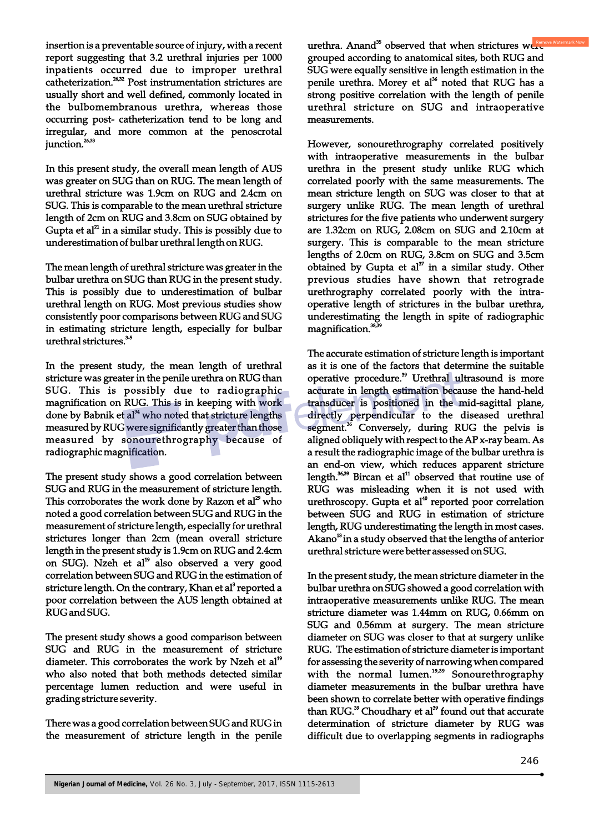insertion is a preventable source of injury, with a recent report suggesting that 3.2 urethral injuries per 1000 inpatients occurred due to improper urethral catheterization.<sup>26,32</sup> Post instrumentation strictures are usually short and well defined, commonly located in the bulbomembranous urethra, whereas those occurring post- catheterization tend to be long and irregular, and more common at the penoscrotal junction.<sup>26,33</sup>

In this present study, the overall mean length of AUS was greater on SUG than on RUG. The mean length of urethral stricture was 1.9cm on RUG and 2.4cm on SUG. This is comparable to the mean urethral stricture length of 2cm on RUG and 3.8cm on SUG obtained by Gupta et al<sup> $21$ </sup> in a similar study. This is possibly due to underestimation of bulbar urethral length on RUG.

The mean length of urethral stricture was greater in the bulbar urethra on SUG than RUG in the present study. This is possibly due to underestimation of bulbar urethral length on RUG. Most previous studies show consistently poor comparisons between RUG and SUG in estimating stricture length, especially for bulbar urethral strictures.<sup>35</sup>

In the present study, the mean length of urethral stricture was greater in the penile urethra on RUG than SUG. This is possibly due to radiographic magnification on RUG. This is in keeping with work done by Babnik et al<sup>34</sup> who noted that stricture lengths measured by RUG were significantly greater than those measured by sonourethrography because of radiographic magnification.

The present study shows a good correlation between SUG and RUG in the measurement of stricture length. This corroborates the work done by Razon et  $al^{29}$  who noted a good correlation between SUG and RUG in the measurement of stricture length, especially for urethral strictures longer than 2cm (mean overall stricture length in the present study is 1.9cm on RUG and 2.4cm on SUG). Nzeh et al<sup>19</sup> also observed a very good correlation between SUG and RUG in the estimation of stricture length. On the contrary, Khan et al<sup>3</sup> reported a poor correlation between the AUS length obtained at RUG and SUG.

The present study shows a good comparison between SUG and RUG in the measurement of stricture diameter. This corroborates the work by Nzeh et al<sup>19</sup> who also noted that both methods detected similar percentage lumen reduction and were useful in grading stricture severity.

There was a good correlation between SUG and RUG in the measurement of stricture length in the penile urethra. Anand<sup>35</sup> observed that when strictures were grouped according to anatomical sites, both RUG and SUG were equally sensitive in length estimation in the penile urethra. Morey et al<sup>36</sup> noted that RUG has a strong positive correlation with the length of penile urethral stricture on SUG and intraoperative measurements.

However, sonourethrography correlated positively with intraoperative measurements in the bulbar urethra in the present study unlike RUG which correlated poorly with the same measurements. The mean stricture length on SUG was closer to that at surgery unlike RUG. The mean length of urethral strictures for the five patients who underwent surgery are 1.32cm on RUG, 2.08cm on SUG and 2.10cm at surgery. This is comparable to the mean stricture lengths of 2.0cm on RUG, 3.8cm on SUG and 3.5cm obtained by Gupta et  $al<sup>37</sup>$  in a similar study. Other previous studies have shown that retrograde urethrography correlated poorly with the intraoperative length of strictures in the bulbar urethra, underestimating the length in spite of radiographic magnification.<sup>38,3</sup>

The accurate estimation of stricture length is important as it is one of the factors that determine the suitable operative procedure.<sup>39</sup> Urethral ultrasound is more accurate in length estimation because the hand-held transducer is positioned in the mid-sagittal plane, directly perpendicular to the diseased urethral segment.<sup>36</sup> Conversely, during RUG the pelvis is aligned obliquely with respect to the AP x-ray beam. As a result the radiographic image of the bulbar urethra is an end-on view, which reduces apparent stricture length. $36,39$  Bircan et al<sup>11</sup> observed that routine use of RUG was misleading when it is not used with urethroscopy. Gupta et  $al<sup>40</sup>$  reported poor correlation between SUG and RUG in estimation of stricture length, RUG underestimating the length in most cases. Akano<sup>18</sup> in a study observed that the lengths of anterior urethral stricture were better assessed on SUG.

In the present study, the mean stricture diameter in the bulbar urethra on SUG showed a good correlation with intraoperative measurements unlike RUG. The mean stricture diameter was 1.44mm on RUG, 0.66mm on SUG and 0.56mm at surgery. The mean stricture diameter on SUG was closer to that at surgery unlike RUG. The estimation of stricture diameter is important for assessing the severity of narrowing when compared with the normal lumen.<sup>19,39</sup> Sonourethrography diameter measurements in the bulbar urethra have been shown to correlate better with operative findings than RUG.<sup>39</sup> Choudhary et al<sup>39</sup> found out that accurate determination of stricture diameter by RUG was difficult due to overlapping segments in radiographs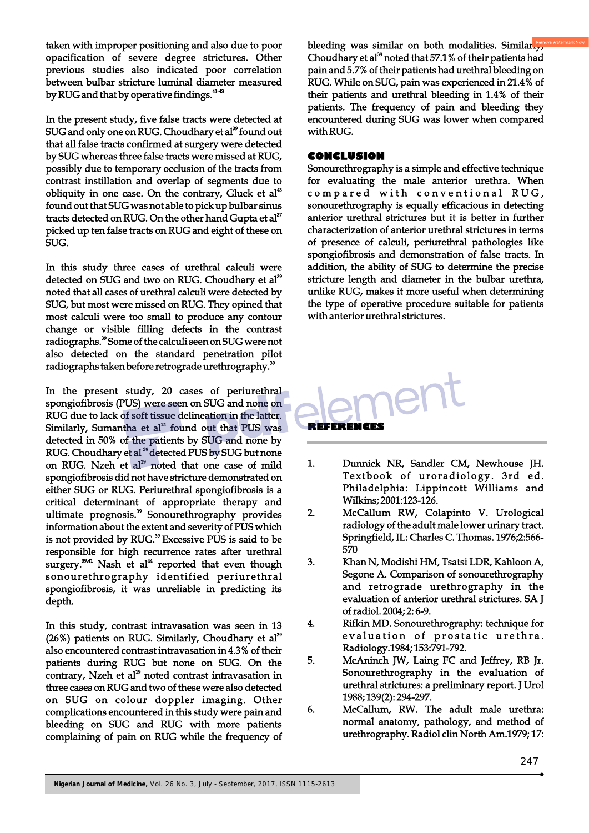taken with improper positioning and also due to poor opacification of severe degree strictures. Other previous studies also indicated poor correlation between bulbar stricture luminal diameter measured by RUG and that by operative findings.<sup>4143</sup>

In the present study, five false tracts were detected at SUG and only one on RUG. Choudhary et al<sup>39</sup> found out that all false tracts confirmed at surgery were detected by SUG whereas three false tracts were missed at RUG, possibly due to temporary occlusion of the tracts from contrast instillation and overlap of segments due to obliquity in one case. On the contrary, Gluck et  $al<sup>43</sup>$ found out that SUG was not able to pick up bulbar sinus tracts detected on RUG. On the other hand Gupta et al<sup>37</sup> picked up ten false tracts on RUG and eight of these on SUG.

In this study three cases of urethral calculi were detected on SUG and two on RUG. Choudhary et al<sup>39</sup> noted that all cases of urethral calculi were detected by SUG, but most were missed on RUG. They opined that most calculi were too small to produce any contour change or visible filling defects in the contrast radiographs.<sup>39</sup> Some of the calculi seen on SUG were not also detected on the standard penetration pilot radiographs taken before retrograde urethrography.<sup>39</sup>

In the present study, 20 cases of periurethral spongiofibrosis (PUS) were seen on SUG and none on RUG due to lack of soft tissue delineation in the latter. Similarly, Sumantha et  $al<sup>24</sup>$  found out that PUS was detected in 50% of the patients by SUG and none by RUG. Choudhary et al <sup>39</sup> detected PUS by SUG but none on RUG. Nzeh et al<sup>19</sup> noted that one case of mild spongiofibrosis did not have stricture demonstrated on either SUG or RUG. Periurethral spongiofibrosis is a critical determinant of appropriate therapy and ultimate prognosis.<sup>39</sup> Sonourethrography provides information about the extent and severity of PUS which is not provided by RUG.<sup>39</sup> Excessive PUS is said to be responsible for high recurrence rates after urethral surgery.<sup>39,41</sup> Nash et al<sup>44</sup> reported that even though sonourethrography identified periurethral spongiofibrosis, it was unreliable in predicting its depth.

In this study, contrast intravasation was seen in 13  $(26%)$  patients on RUG. Similarly, Choudhary et al<sup>39</sup> also encountered contrast intravasation in 4.3% of their patients during RUG but none on SUG. On the contrary, Nzeh et al<sup>19</sup> noted contrast intravasation in three cases on RUG and two of these were also detected on SUG on colour doppler imaging. Other complications encountered in this study were pain and bleeding on SUG and RUG with more patients complaining of pain on RUG while the frequency of bleeding was similar on both modalities. Similarly, Choudhary et al<sup>39</sup> noted that 57.1% of their patients had pain and 5.7% of their patients had urethral bleeding on RUG. While on SUG, pain was experienced in 21.4% of their patients and urethral bleeding in 1.4% of their patients. The frequency of pain and bleeding they encountered during SUG was lower when compared with RUG.

#### **CONCLUSION**

Sonourethrography is a simple and effective technique for evaluating the male anterior urethra. When compared with conventional RUG, sonourethrography is equally efficacious in detecting anterior urethral strictures but it is better in further characterization of anterior urethral strictures in terms of presence of calculi, periurethral pathologies like spongiofibrosis and demonstration of false tracts. In addition, the ability of SUG to determine the precise stricture length and diameter in the bulbar urethra, unlike RUG, makes it more useful when determining the type of operative procedure suitable for patients with anterior urethral strictures.



- 1. Dunnick NR, Sandler CM, Newhouse JH. Textbook of uroradiology. 3rd ed. Philadelphia: Lippincott Williams and Wilkins; 2001:123-126.
- 2. McCallum RW, Colapinto V. Urological radiology of the adult male lower urinary tract. Springfield, IL: Charles C. Thomas. 1976;2:566- 570
- 3. Khan N, Modishi HM, Tsatsi LDR, Kahloon A, Segone A. Comparison of sonourethrography and retrograde urethrography in the evaluation of anterior urethral strictures. SA J of radiol. 2004; 2: 6-9.
- 4. Rifkin MD. Sonourethrography: technique for evaluation of prostatic urethra. Radiology.1984; 153:791-792.
- 5. McAninch JW, Laing FC and Jeffrey, RB Jr. Sonourethrography in the evaluation of urethral strictures: a preliminary report. J Urol 1988; 139(2): 294-297.
- 6. McCallum, RW. The adult male urethra: normal anatomy, pathology, and method of urethrography. Radiol clin North Am.1979; 17: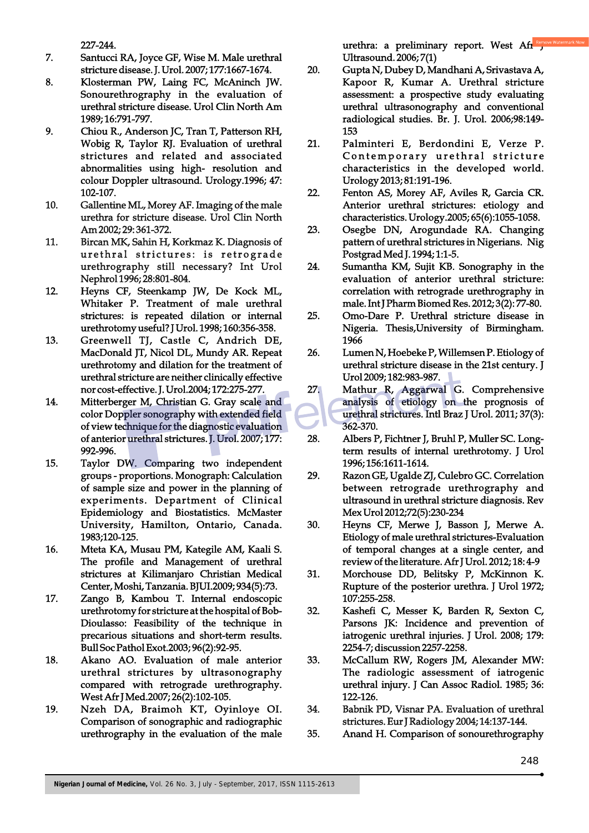227-244.

- 7. Santucci RA, Joyce GF, Wise M. Male urethral stricture disease. J. Urol. 2007; 177:1667-1674.
- 8. Klosterman PW, Laing FC, McAninch JW. Sonourethrography in the evaluation of urethral stricture disease. Urol Clin North Am 1989; 16:791-797.
- 9. Chiou R., Anderson JC, Tran T, Patterson RH, Wobig R, Taylor RJ. Evaluation of urethral strictures and related and associated abnormalities using high- resolution and colour Doppler ultrasound. Urology.1996; 47: 102-107.
- 10. Gallentine ML, Morey AF. Imaging of the male urethra for stricture disease. Urol Clin North Am 2002; 29: 361-372.
- 11. Bircan MK, Sahin H, Korkmaz K. Diagnosis of urethral strictures: is retrograde urethrography still necessary? Int Urol Nephrol 1996; 28:801-804.
- 12. Heyns CF, Steenkamp JW, De Kock ML, Whitaker P. Treatment of male urethral strictures: is repeated dilation or internal urethrotomy useful? J Urol. 1998; 160:356-358.
- 13. Greenwell TJ, Castle C, Andrich DE, MacDonald JT, Nicol DL, Mundy AR. Repeat urethrotomy and dilation for the treatment of urethral stricture are neither clinically effective nor cost-effective. J. Urol.2004; 172:275-277.
- 14. Mitterberger M, Christian G. Gray scale and color Doppler sonography with extended field of view technique for the diagnostic evaluation of anterior urethral strictures. J. Urol. 2007; 177: 992-996.
- 15. Taylor DW. Comparing two independent groups - proportions. Monograph: Calculation of sample size and power in the planning of experiments. Department of Clinical Epidemiology and Biostatistics. McMaster University, Hamilton, Ontario, Canada. 1983;120-125.
- 16. Mteta KA, Musau PM, Kategile AM, Kaali S. The profile and Management of urethral strictures at Kilimanjaro Christian Medical Center, Moshi, Tanzania. BJUI.2009; 934(5):73.
- 17. Zango B, Kambou T. Internal endoscopic urethrotomy for stricture at the hospital of Bob-Dioulasso: Feasibility of the technique in precarious situations and short-term results. Bull Soc Pathol Exot.2003; 96(2):92-95.
- 18. Akano AO. Evaluation of male anterior urethral strictures by ultrasonography compared with retrograde urethrography. West Afr J Med.2007; 26(2):102-105.
- 19. Nzeh DA, Braimoh KT, Oyinloye OI. Comparison of sonographic and radiographic urethrography in the evaluation of the male

urethra: a preliminary report. West Afr $\frac{Rem}{J}$ Ultrasound. 2006; 7(1)

- 20. Gupta N, Dubey D, Mandhani A, Srivastava A, Kapoor R, Kumar A. Urethral stricture assessment: a prospective study evaluating urethral ultrasonography and conventional radiological studies. Br. J. Urol. 2006;98:149- 153
- 21. Palminteri E, Berdondini E, Verze P. Contemporary urethral stricture characteristics in the developed world. Urology 2013; 81:191-196.
- 22. Fenton AS, Morey AF, Aviles R, Garcia CR. Anterior urethral strictures: etiology and characteristics. Urology.2005; 65(6):1055-1058.
- 23. Osegbe DN, Arogundade RA. Changing pattern of urethral strictures in Nigerians. Nig Postgrad Med J. 1994; 1:1-5.
- 24. Sumantha KM, Sujit KB. Sonography in the evaluation of anterior urethral stricture: correlation with retrograde urethrography in male. Int J Pharm Biomed Res. 2012; 3(2): 77-80.
- 25. Omo-Dare P. Urethral stricture disease in Nigeria. Thesis,University of Birmingham. 1966
- 26. Lumen N, Hoebeke P, Willemsen P. Etiology of urethral stricture disease in the 21st century. J Urol 2009; 182:983-987.
- 27. Mathur R, Aggarwal G. Comprehensive analysis of etiology on the prognosis of urethral strictures. Intl Braz J Urol. 2011; 37(3): 362-370.
- 28. Albers P, Fichtner J, Bruhl P, Muller SC. Longterm results of internal urethrotomy. J Urol 1996; 156:1611-1614.
- 29. Razon GE, Ugalde ZJ, Culebro GC. Correlation between retrograde urethrography and ultrasound in urethral stricture diagnosis. Rev Mex Urol 2012;72(5):230-234
- 30. Heyns CF, Merwe J, Basson J, Merwe A. Etiology of male urethral strictures-Evaluation of temporal changes at a single center, and review of the literature. Afr J Urol. 2012; 18: 4-9
- 31. Morchouse DD, Belitsky P, McKinnon K. Rupture of the posterior urethra. J Urol 1972; 107:255-258.
- 32. Kashefi C, Messer K, Barden R, Sexton C, Parsons JK: Incidence and prevention of iatrogenic urethral injuries. J Urol. 2008; 179: 2254-7; discussion 2257-2258.
- 33. McCallum RW, Rogers JM, Alexander MW: The radiologic assessment of iatrogenic urethral injury. J Can Assoc Radiol. 1985; 36: 122-126.
- 34. Babnik PD, Visnar PA. Evaluation of urethral strictures. Eur J Radiology 2004; 14:137-144.
- 35. Anand H. Comparison of sonourethrography